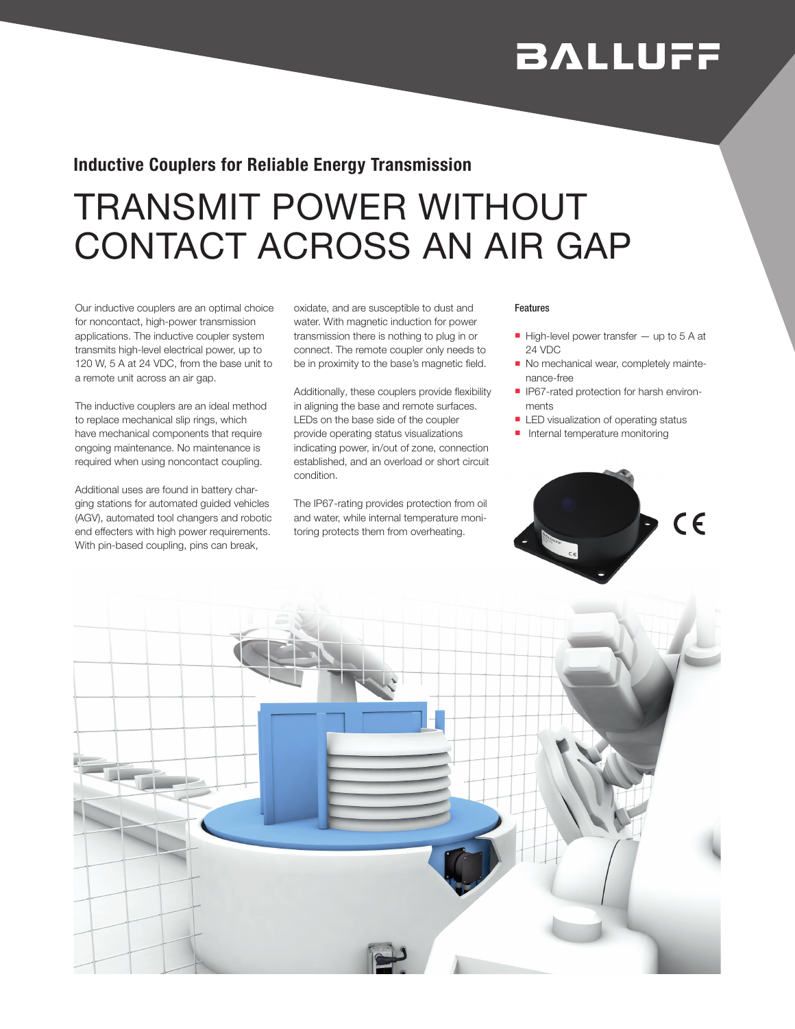# **BALLUFF**

### Inductive Couplers for Reliable Energy Transmission

## TRANSMIT POWER WITHOUT CONTACT ACROSS AN AIR GAP

Our inductive couplers are an optimal choice for noncontact, high-power transmission applications. The inductive coupler system transmits high-level electrical power, up to 120 W, 5 A at 24 VDC, from the base unit to a remote unit across an air gap.

The inductive couplers are an ideal method to replace mechanical slip rings, which have mechanical components that require ongoing maintenance. No maintenance is required when using noncontact coupling.

Additional uses are found in battery charging stations for automated guided vehicles (AGV), automated tool changers and robotic end effecters with high power requirements. With pin-based coupling, pins can break,

oxidate, and are susceptible to dust and water. With magnetic induction for power transmission there is nothing to plug in or connect. The remote coupler only needs to be in proximity to the base's magnetic field.

Additionally, these couplers provide flexibility in aligning the base and remote surfaces. LEDs on the base side of the coupler provide operating status visualizations indicating power, in/out of zone, connection established, and an overload or short circuit condition.

The IP67-rating provides protection from oil and water, while internal temperature monitoring protects them from overheating.

#### Features

- $\blacksquare$  High-level power transfer  $-$  up to 5 A at 24 VDC
- No mechanical wear, completely maintenance-free
- **IP67-rated protection for harsh environ**ments
- **ELED** visualization of operating status
- $\blacksquare$  Internal temperature monitoring